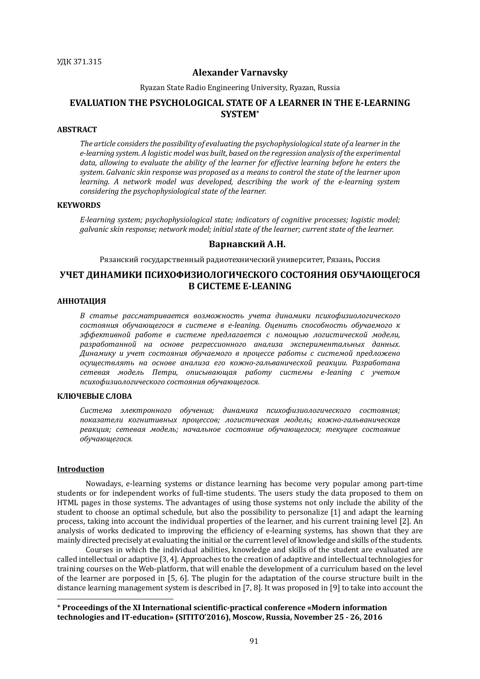### **Alexander Varnavsky**

Ryazan State Radio Engineering University, Ryazan, Russia

## **EVALUATION THE PSYCHOLOGICAL STATE OF A LEARNER IN THE E-LEARNING SYSTEM\***

### **ABSTRACT**

The article considers the possibility of evaluating the psychophysiological state of a learner in the  $e$ -learning system. A logistic model was built, based on the regression analysis of the experimental data, allowing to evaluate the ability of the learner for effective learning before he enters the system. Galvanic skin response was proposed as a means to control the state of the learner upon *learning.* A network model was developed, describing the work of the e-learning system *considering the psychophysiological state of the learner.* 

### **KEYWORDS**

*E-learning system; psychophysiological state; indicators of cognitive processes; logistic model; galvanic skin response; network model; initial state of the learner; current state of the learner.* 

### **Варнавский А.Н.**

Рязанский государственный радиотехнический университет, Рязань, Россия

# **УЧЕТ ДИНАМИКИ ПСИХОФИЗИОЛОГИЧЕСКОГО СОСТОЯНИЯ ОБУЧАЮЩЕГОСЯ В СИСТЕМЕ E-LEANING**

### **АННОТАЦИЯ**

*В статье рассматривается возможность учета динамики психофизиологического состояния обучающегося в системе в e-leaning. Оценить способность обучаемого к эффективной работе в системе предлагается с помощью логистической модели,*  разработанной на основе регрессионного анализа экспериментальных данных. *Динамику и учет состояния обучаемого в процессе работы с системой предложено осуществлять на основе анализа его кожно-гальванической реакции. Разработана сетевая модель Петри, описывающая работу системы e-leaning с учетом психофизиологического состояния обучающегося.*

### **КЛЮЧЕВЫЕ СЛОВА**

*Система электронного обучения; динамика психофизиологического состояния; показатели когнитивных процессов; логистическая модель; кожно-гальваническая*  реакция; сетевая модель; начальное состояние обучающегося; текущее состояние *обучающегося.*

#### **Introduction**

 $\overline{a}$ 

Nowadays, e-learning systems or distance learning has become very popular among part-time students or for independent works of full-time students. The users study the data proposed to them on HTML pages in those systems. The advantages of using those systems not only include the ability of the student to choose an optimal schedule, but also the possibility to personalize [1] and adapt the learning process, taking into account the individual properties of the learner, and his current training level [2]. An analysis of works dedicated to improving the efficiency of e-learning systems, has shown that they are mainly directed precisely at evaluating the initial or the current level of knowledge and skills of the students.

Courses in which the individual abilities, knowledge and skills of the student are evaluated are called intellectual or adaptive [3, 4]. Approaches to the creation of adaptive and intellectual technologies for training courses on the Web-platform, that will enable the development of a curriculum based on the level of the learner are porposed in [5, 6]. The plugin for the adaptation of the course structure built in the distance learning management system is described in [7, 8]. It was proposed in [9] to take into account the

<sup>\*</sup> **Proceedings of the XI International scientific-practical conference «Modern information technologies and IT-education» (SITITO'2016), Moscow, Russia, November 25 - 26, 2016**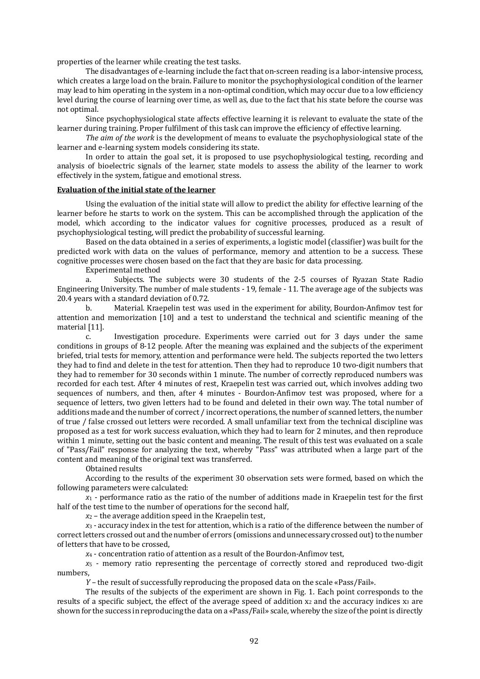properties of the learner while creating the test tasks.

The disadvantages of e-learning include the fact that on-screen reading is a labor-intensive process, which creates a large load on the brain. Failure to monitor the psychophysiological condition of the learner may lead to him operating in the system in a non-optimal condition, which may occur due to a low efficiency level during the course of learning over time, as well as, due to the fact that his state before the course was not optimal.

Since psychophysiological state affects effective learning it is relevant to evaluate the state of the learner during training. Proper fulfilment of this task can improve the efficiency of effective learning.

*The aim of the work* is the development of means to evaluate the psychophysiological state of the learner and e-learning system models considering its state.

In order to attain the goal set, it is proposed to use psychophysiological testing, recording and analysis of bioelectric signals of the learner, state models to assess the ability of the learner to work effectively in the system, fatigue and emotional stress.

#### **Evaluation of the initial state of the learner**

Using the evaluation of the initial state will allow to predict the ability for effective learning of the learner before he starts to work on the system. This can be accomplished through the application of the model, which according to the indicator values for cognitive processes, produced as a result of psychophysiological testing, will predict the probability of successful learning.

Based on the data obtained in a series of experiments, a logistic model (classifier) was built for the predicted work with data on the values of performance, memory and attention to be a success. These cognitive processes were chosen based on the fact that they are basic for data processing.

Experimental method

a. Subjects. The subjects were 30 students of the 2-5 courses of Ryazan State Radio Engineering University. The number of male students - 19, female - 11. The average age of the subjects was 20.4 years with a standard deviation of 0.72.

b. Material. Kraepelin test was used in the experiment for ability, Bourdon-Anfimov test for attention and memorization [10] and a test to understand the technical and scientific meaning of the material [11].

c. Investigation procedure. Experiments were carried out for 3 days under the same conditions in groups of 8-12 people. After the meaning was explained and the subjects of the experiment briefed, trial tests for memory, attention and performance were held. The subjects reported the two letters they had to find and delete in the test for attention. Then they had to reproduce 10 two-digit numbers that they had to remember for 30 seconds within 1 minute. The number of correctly reproduced numbers was recorded for each test. After 4 minutes of rest, Kraepelin test was carried out, which involves adding two sequences of numbers, and then, after 4 minutes - Bourdon-Anfimov test was proposed, where for a sequence of letters, two given letters had to be found and deleted in their own way. The total number of additions made and the number of correct / incorrect operations, the number of scanned letters, the number of true / false crossed out letters were recorded. A small unfamiliar text from the technical discipline was proposed as a test for work success evaluation, which they had to learn for 2 minutes, and then reproduce within 1 minute, setting out the basic content and meaning. The result of this test was evaluated on a scale of "Pass/Fail" response for analyzing the text, whereby "Pass" was attributed when a large part of the content and meaning of the original text was transferred.

Obtained results

According to the results of the experiment 30 observation sets were formed, based on which the following parameters were calculated:

*x*<sup>1</sup> - performance ratio as the ratio of the number of additions made in Kraepelin test for the first half of the test time to the number of operations for the second half,

*x*<sup>2</sup> – the average addition speed in the Kraepelin test,

*х*<sup>3</sup> - accuracy index in the test for attention, which is a ratio of the difference between the number of correct letters crossed out and the number of errors (omissions and unnecessary crossed out) to the number of letters that have to be crossed,

*х*<sup>4</sup> - concentration ratio of attention as a result of the Bourdon-Anfimov test,

*х*<sup>5</sup> - memory ratio representing the percentage of correctly stored and reproduced two-digit numbers,

*Y* – the result of successfully reproducing the proposed data on the scale «Pass/Fail».

The results of the subjects of the experiment are shown in Fig. 1. Each point corresponds to the results of a specific subject, the effect of the average speed of addition  $x_2$  and the accuracy indices  $x_3$  are shown for the success in reproducing the data on a «Pass/Fail» scale, whereby the size of the point is directly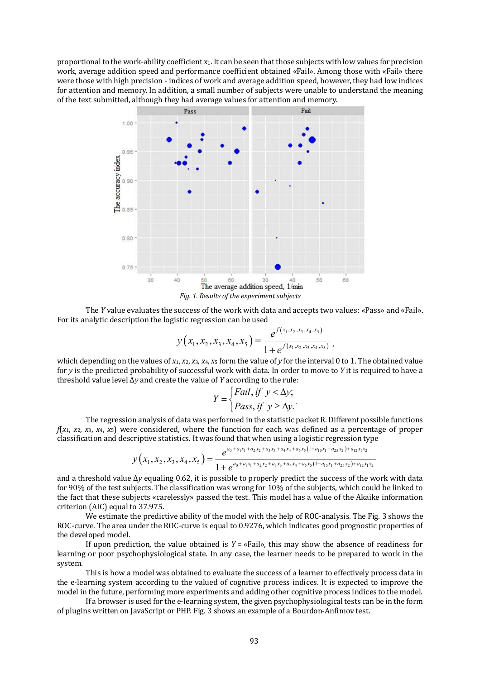proportional to the work-ability coefficient x1. It can be seen that those subjects with low values for precision work, average addition speed and performance coefficient obtained «Fail». Among those with «Fail» there were those with high precision - indices of work and average addition speed, however, they had low indices for attention and memory. In addition, a small number of subjects were unable to understand the meaning of the text submitted, although they had average values for attention and memory.



The *Y* value evaluates the success of the work with data and accepts two values: «Pass» and «Fail». For its analytic description the logistic regression can be used

$$
y(x_1, x_2, x_3, x_4, x_5) = \frac{e^{f(x_1, x_2, x_3, x_4, x_5)}}{1 + e^{f(x_1, x_2, x_3, x_4, x_5)}},
$$

which depending on the values of *x*1, *x*2, *x*3, *x*4, *x*<sup>5</sup> form the value of *y* for the interval 0 to 1. The obtained value for *y* is the predicted probability of successful work with data. In order to move to *Y* it is required to have a threshold value level Δ*y* and create the value of *Y* according to the rule:

$$
Y = \begin{cases} \text{fail, if } y < \Delta y; \\ \text{Pass, if } y \ge \Delta y. \end{cases}
$$

The regression analysis of data was performed in the statistic packet R. Different possible functions *f*(*x*1, *x*2, *x*3, *x*4, *x*5) were considered, where the function for each was defined as a percentage of proper classification and descriptive statistics. It was found that when using a logistic regression type

$$
y(x_1, x_2, x_3, x_4, x_5) = \frac{e^{a_0 + a_1x_1 + a_2x_2 + a_3x_3 + a_4x_4 + a_5x_5(1 + a_15x_1 + a_25x_2) + a_{12}x_1x_2}}{1 + e^{a_0 + a_1x_1 + a_2x_2 + a_3x_3 + a_4x_4 + a_5x_5(1 + a_15x_1 + a_25x_2) + a_{12}x_1x_2}}
$$

and a threshold value Δ*y* equaling 0.62, it is possible to properly predict the success of the work with data for 90% of the test subjects. The classification was wrong for 10% of the subjects, which could be linked to the fact that these subjects «carelessly» passed the test. This model has a value of the Akaike information criterion (AIC) equal to 37.975.

We estimate the predictive ability of the model with the help of ROC-analysis. The Fig. 3 shows the ROC-curve. The area under the ROC-curve is equal to 0.9276, which indicates good prognostic properties of the developed model.

If upon prediction, the value obtained is  $Y = \alpha$  Fail», this may show the absence of readiness for learning or poor psychophysiological state. In any case, the learner needs to be prepared to work in the system.

This is how a model was obtained to evaluate the success of a learner to effectively process data in the e-learning system according to the valued of cognitive process indices. It is expected to improve the model in the future, performing more experiments and adding other cognitive process indices to the model.

If a browser is used for the e-learning system, the given psychophysiological tests can be in the form of plugins written on JavaScript or PHP. Fig. 3 shows an example of a Bourdon-Anfimov test.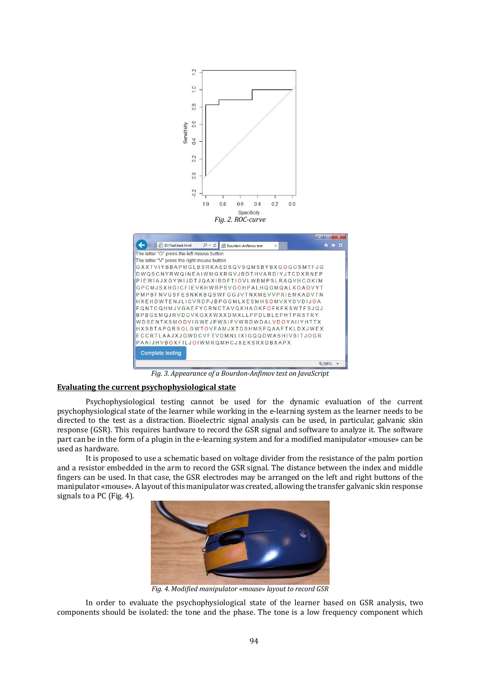

*Fig.* 3. Appearance of a Bourdon-Anfimov test on JavaScript

## **Evaluating the current psychophysiological state**

Psychophysiological testing cannot be used for the dynamic evaluation of the current psychophysiological state of the learner while working in the e-learning system as the learner needs to be directed to the test as a distraction. Bioelectric signal analysis can be used, in particular, galvanic skin response (GSR). This requires hardware to record the GSR signal and software to analyze it. The software part can be in the form of a plugin in the e-learning system and for a modified manipulator «mouse» can be used as hardware.

It is proposed to use a schematic based on voltage divider from the resistance of the palm portion and a resistor embedded in the arm to record the GSR signal. The distance between the index and middle fingers can be used. In that case, the GSR electrodes may be arranged on the left and right buttons of the manipulator «mouse». A layout of this manipulator was created, allowing the transfer galvanic skin response signals to a PC (Fig. 4).



*Fig.* 4. Modified manipulator «mouse» layout to record GSR

In order to evaluate the psychophysiological state of the learner based on GSR analysis, two components should be isolated: the tone and the phase. The tone is a low frequency component which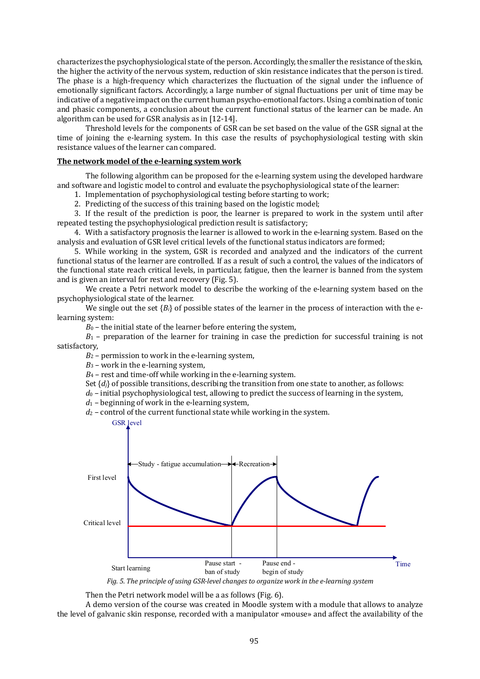characterizes the psychophysiological state of the person. Accordingly, the smaller the resistance of the skin, the higher the activity of the nervous system, reduction of skin resistance indicates that the person is tired. The phase is a high-frequency which characterizes the fluctuation of the signal under the influence of emotionally significant factors. Accordingly, a large number of signal fluctuations per unit of time may be indicative of a negative impact on the current human psycho-emotional factors. Using a combination of tonic and phasic components, a conclusion about the current functional status of the learner can be made. An algorithm can be used for GSR analysis as in [12-14].

Threshold levels for the components of GSR can be set based on the value of the GSR signal at the time of joining the e-learning system. In this case the results of psychophysiological testing with skin resistance values of the learner can compared.

### **The network model of the e-learning system work**

The following algorithm can be proposed for the e-learning system using the developed hardware and software and logistic model to control and evaluate the psychophysiological state of the learner:

1. Implementation of psychophysiological testing before starting to work;

2. Predicting of the success of this training based on the logistic model;

3. If the result of the prediction is poor, the learner is prepared to work in the system until after repeated testing the psychophysiological prediction result is satisfactory;

4. With a satisfactory prognosis the learner is allowed to work in the e-learning system. Based on the analysis and evaluation of GSR level critical levels of the functional status indicators are formed;

5. While working in the system, GSR is recorded and analyzed and the indicators of the current functional status of the learner are controlled. If as a result of such a control, the values of the indicators of the functional state reach critical levels, in particular, fatigue, then the learner is banned from the system and is given an interval for rest and recovery (Fig. 5).

We create a Petri network model to describe the working of the e-learning system based on the psychophysiological state of the learner.

We single out the set  ${B_i}$  of possible states of the learner in the process of interaction with the elearning system:

 $B<sub>0</sub>$  – the initial state of the learner before entering the system,

*B*<sup>1</sup> – preparation of the learner for training in case the prediction for successful training is not satisfactory,

 $B_2$  – permission to work in the e-learning system,

 $B_3$  – work in the e-learning system,

 $B_4$  – rest and time-off while working in the e-learning system.

Set {*dj*} of possible transitions, describing the transition from one state to another, as follows:

 $d_0$  – initial psychophysiological test, allowing to predict the success of learning in the system,

*d*<sup>1</sup> – beginning of work in the e-learning system,

*d*<sup>2</sup> – control of the current functional state while working in the system.



Fig. 5. The principle of using GSR-level changes to organize work in the e-learning system

Then the Petri network model will be a as follows (Fig. 6).

A demo version of the course was created in Moodle system with a module that allows to analyze the level of galvanic skin response, recorded with a manipulator «mouse» and affect the availability of the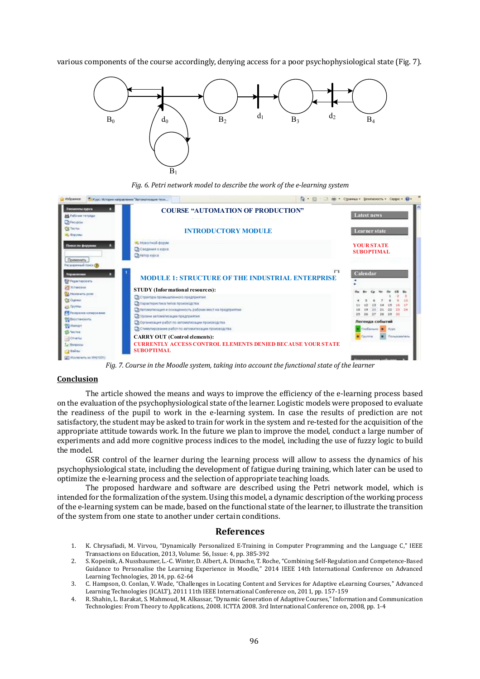various components of the course accordingly, denying access for a poor psychophysiological state (Fig. 7).



Fig. 6. Petri network model to describe the work of the e-learning system

| Элементы курса<br>п<br><b>MA</b> Pado era Tenzingan                                                                                                                                                                      | <b>COURSE "AUTOMATION OF PRODUCTION"</b>                                                                                                                                                                                                                                                                                                                                                               | <b>Latest news</b>                                                                            |
|--------------------------------------------------------------------------------------------------------------------------------------------------------------------------------------------------------------------------|--------------------------------------------------------------------------------------------------------------------------------------------------------------------------------------------------------------------------------------------------------------------------------------------------------------------------------------------------------------------------------------------------------|-----------------------------------------------------------------------------------------------|
| <b>Children</b><br><b>City Technik</b><br><b>III</b> , <b>Dopynau</b>                                                                                                                                                    | <b>INTRODUCTORY MODULE</b>                                                                                                                                                                                                                                                                                                                                                                             | <b>Learner</b> state                                                                          |
| Поиск по форумам<br>Применеть                                                                                                                                                                                            | и, Новоглюй форм.<br>Chicagowith more<br>Th Astop moca                                                                                                                                                                                                                                                                                                                                                 | <b>YOUR STATE</b><br><b>SUBOPTIMAL</b>                                                        |
| Расширенный поиск (?)<br><b><i><u>Virgiun message</u></i></b><br>P Pegantigonary<br><b>CE PETWORKS</b><br>Hallmarker and AL<br><b>Cit Outment</b><br>all Toyota<br>FR Peopleson consponses<br>20 боотвенить<br>TO HARVEY | п<br><b>MODULE 1: STRUCTURE OF THE INDUSTRIAL ENTERPRISE</b><br><b>STUDY</b> (Informational resources):<br>Со Стауктиза промышленного предприятия<br>Провременна типов проховодства<br>Пу-чегомагне вдин и оснащенность рабочик мест на предприятии<br>О Уровни автомализации предприятия<br>Поронновция работ по автоматизации производства<br>От Стимулирование работ по автоматизации производства. | Calendar<br>Легенда событий<br>Thofanano 100 Kype<br><b>Tituleskatskin</b><br><b>Countrie</b> |
| <b>SS Years</b><br>-SOTHERN                                                                                                                                                                                              | <b>CARRY OUT (Control elements):</b>                                                                                                                                                                                                                                                                                                                                                                   |                                                                                               |

Fig. 7. Course in the Moodle system, taking into account the functional state of the learner

#### **Conclusion**

The article showed the means and ways to improve the efficiency of the e-learning process based on the evaluation of the psychophysiological state of the learner. Logistic models were proposed to evaluate the readiness of the pupil to work in the e-learning system. In case the results of prediction are not satisfactory, the student may be asked to train for work in the system and re-tested for the acquisition of the appropriate attitude towards work. In the future we plan to improve the model, conduct a large number of experiments and add more cognitive process indices to the model, including the use of fuzzy logic to build the model.

GSR control of the learner during the learning process will allow to assess the dynamics of his psychophysiological state, including the development of fatigue during training, which later can be used to optimize the e-learning process and the selection of appropriate teaching loads.

The proposed hardware and software are described using the Petri network model, which is intended for the formalization of the system. Using this model, a dynamic description of the working process of the e-learning system can be made, based on the functional state of the learner, to illustrate the transition of the system from one state to another under certain conditions.

### **References**

- 1. K. Chrysafiadi, M. Virvou, "Dynamically Personalized E-Training in Computer Programming and the Language C," IEEE Transactions on Education, 2013, Volume: 56, Issue: 4, pp. 385-392
- 2. S. Kopeinik, A. Nussbaumer, L.-C. Winter, D. Albert, A. Dimache, T. Roche, "Combining Self-Regulation and Competence-Based Guidance to Personalise the Learning Experience in Moodle," 2014 IEEE 14th International Conference on Advanced Learning Technologies, 2014, pp. 62-64
- 3. C. Hampson, O. Conlan, V. Wade, "Challenges in Locating Content and Services for Adaptive eLearning Courses," Advanced Learning Technologies (ICALT), 2011 11th IEEE International Conference on, 2011, pp. 157-159
- 4. R. Shahin, L. Barakat, S. Mahmoud, M. Alkassar, "Dynamic Generation of Adaptive Courses," Information and Communication Technologies: From Theory to Applications, 2008. ICTTA 2008. 3rd International Conference on, 2008, pp. 1-4